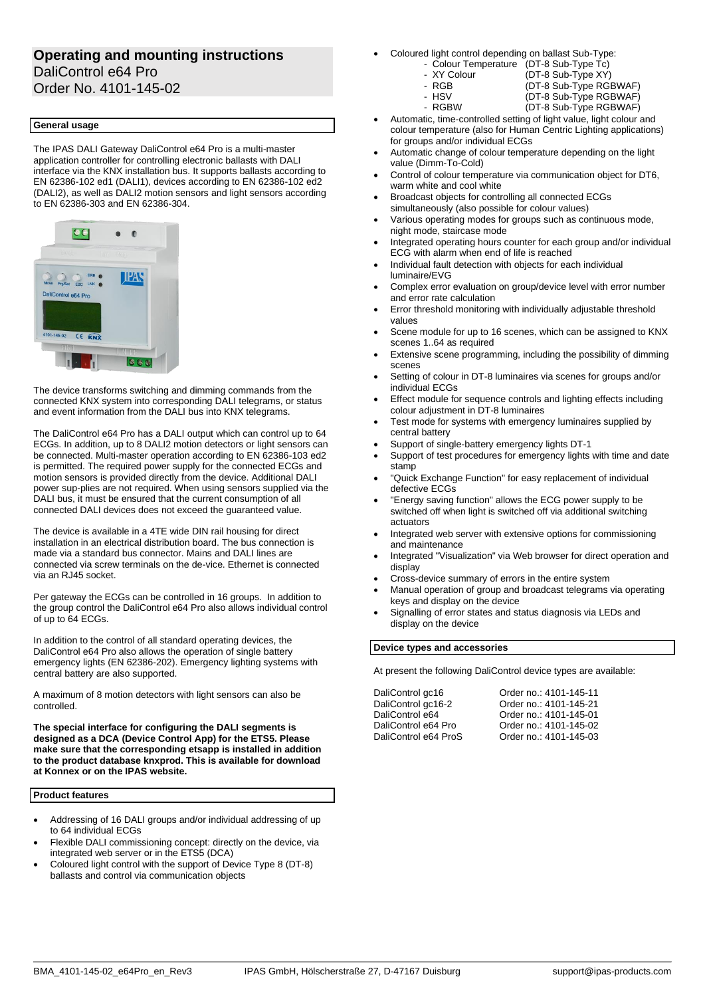# **Operating and mounting instructions** DaliControl e64 Pro

Order No. 4101-145-02

# **General usage**

The IPAS DALI Gateway DaliControl e64 Pro is a multi-master application controller for controlling electronic ballasts with DALI interface via the KNX installation bus. It supports ballasts according to EN 62386-102 ed1 (DALI1), devices according to EN 62386-102 ed2 (DALI2), as well as DALI2 motion sensors and light sensors according to EN 62386-303 and EN 62386-304.



The device transforms switching and dimming commands from the connected KNX system into corresponding DALI telegrams, or status and event information from the DALI bus into KNX telegrams.

The DaliControl e64 Pro has a DALI output which can control up to 64 ECGs. In addition, up to 8 DALI2 motion detectors or light sensors can be connected. Multi-master operation according to EN 62386-103 ed2 is permitted. The required power supply for the connected ECGs and motion sensors is provided directly from the device. Additional DALI power sup-plies are not required. When using sensors supplied via the DALI bus, it must be ensured that the current consumption of all connected DALI devices does not exceed the guaranteed value.

The device is available in a 4TE wide DIN rail housing for direct installation in an electrical distribution board. The bus connection is made via a standard bus connector. Mains and DALI lines are connected via screw terminals on the de-vice. Ethernet is connected via an RJ45 socket.

Per gateway the ECGs can be controlled in 16 groups. In addition to the group control the DaliControl e64 Pro also allows individual control of up to 64 ECGs.

In addition to the control of all standard operating devices, the DaliControl e64 Pro also allows the operation of single battery emergency lights (EN 62386-202). Emergency lighting systems with central battery are also supported.

A maximum of 8 motion detectors with light sensors can also be controlled.

**The special interface for configuring the DALI segments is designed as a DCA (Device Control App) for the ETS5. Please make sure that the corresponding etsapp is installed in addition to the product database knxprod. This is available for download at Konnex or on the IPAS website.**

### **Product features**

- Addressing of 16 DALI groups and/or individual addressing of up to 64 individual ECGs
- Flexible DALI commissioning concept: directly on the device, via integrated web server or in the ETS5 (DCA)
- Coloured light control with the support of Device Type 8 (DT-8) ballasts and control via communication objects
- Coloured light control depending on ballast Sub-Type:
	- Colour Temperature (DT-8 Sub-Type Tc)<br>- XY Colour (DT-8 Sub-Type XY)
	- XY Colour (DT-8 Sub-Type XY)<br>- RGB (DT-8 Sub-Type RGI

 $(DT-8 Sub-Type RGBWAF)$ 

- - RGB (DT-8 Sub-Type RGBWAF) - HSV (DT-8 Sub-Type RGBWAF)
		-
- Automatic, time-controlled setting of light value, light colour and colour temperature (also for Human Centric Lighting applications) for groups and/or individual ECGs
- Automatic change of colour temperature depending on the light value (Dimm-To-Cold)
- Control of colour temperature via communication object for DT6, warm white and cool white
- Broadcast objects for controlling all connected ECGs simultaneously (also possible for colour values)
- Various operating modes for groups such as continuous mode, night mode, staircase mode
- Integrated operating hours counter for each group and/or individual ECG with alarm when end of life is reached
- Individual fault detection with objects for each individual luminaire/EVG
- Complex error evaluation on group/device level with error number and error rate calculation
- Error threshold monitoring with individually adjustable threshold values
- Scene module for up to 16 scenes, which can be assigned to KNX scenes 1..64 as required
- Extensive scene programming, including the possibility of dimming scenes
- Setting of colour in DT-8 luminaires via scenes for groups and/or individual ECGs
- Effect module for sequence controls and lighting effects including colour adjustment in DT-8 luminaires
- Test mode for systems with emergency luminaires supplied by central battery
- Support of single-battery emergency lights DT-1
- Support of test procedures for emergency lights with time and date stamp
- "Quick Exchange Function" for easy replacement of individual defective ECGs
- "Energy saving function" allows the ECG power supply to be switched off when light is switched off via additional switching actuators
- Integrated web server with extensive options for commissioning and maintenance
- Integrated "Visualization" via Web browser for direct operation and display
- Cross-device summary of errors in the entire system
- Manual operation of group and broadcast telegrams via operating keys and display on the device
- Signalling of error states and status diagnosis via LEDs and display on the device

# **Device types and accessories**

At present the following DaliControl device types are available:

DaliControl gc16 Order no.: 4101-145-11 DaliControl gc16-2 Order no.: 4101-145-21 DaliControl e64 Order no.: 4101-145-01 DaliControl e64 Pro Crder no.: 4101-145-02<br>DaliControl e64 ProS Order no.: 4101-145-03 Order no.: 4101-145-03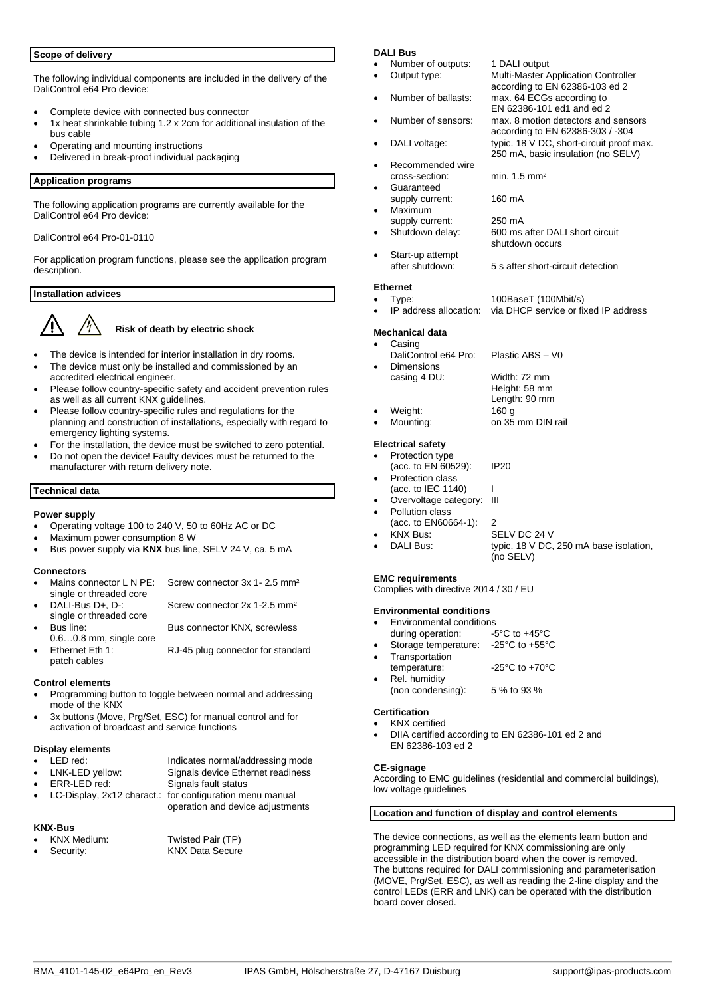# **Scope of delivery**

The following individual components are included in the delivery of the DaliControl e64 Pro device:

- Complete device with connected bus connector
- 1x heat shrinkable tubing 1.2 x 2cm for additional insulation of the bus cable
- Operating and mounting instructions
- Delivered in break-proof individual packaging

### **Application programs**

The following application programs are currently available for the DaliControl e64 Pro device:

### DaliControl e64 Pro-01-0110

For application program functions, please see the application program description.

### **Installation advices**



# **Risk of death by electric shock**

- The device is intended for interior installation in dry rooms.
- The device must only be installed and commissioned by an accredited electrical engineer.
- Please follow country-specific safety and accident prevention rules as well as all current KNX guidelines.
- Please follow country-specific rules and regulations for the planning and construction of installations, especially with regard to emergency lighting systems.
- For the installation, the device must be switched to zero potential.
- Do not open the device! Faulty devices must be returned to the manufacturer with return delivery note.

### **Technical data**

### **Power supply**

- Operating voltage 100 to 240 V, 50 to 60Hz AC or DC
- Maximum power consumption 8 W
- Bus power supply via KNX bus line, SELV 24 V, ca. 5 mA

- **Connectors**<br>• Mains connector L N PE: Screw connector 3x 1- 2.5 mm<sup>2</sup>
- single or threaded core<br>DALI-Bus D+, D-: single or threaded core
	- Screw connector 2x 1-2.5 mm<sup>2</sup>
- Bus line: Bus connector KNX, screwless 0.6…0.8 mm, single core
	- Ethernet Eth 1: RJ-45 plug connector for standard

### **Control elements**

patch cables

- Programming button to toggle between normal and addressing mode of the KNX
- 3x buttons (Move, Prg/Set, ESC) for manual control and for activation of broadcast and service functions

# **Display elements**

- **LED red:** Indicates normal/addressing mode<br>
LNK-LED yellow: Signals device Ethernet readiness • LNK-LED yellow: Signals device Ethernet readiness
- 
- 
- LC-Display, 2x12 charact.: for configuration menu manual
	- operation and device adjustments

# **KNX-Bus**

Twisted Pair (TP) • Security: KNX Data Secure

Signals fault status

### **DALI Bus**

- Number of outputs: 1 DALI output<br>Output type: Multi-Master A
- 
- Number of ballasts: max. 64 ECGs according to
- Number of sensors: max. 8 motion detectors and sensors
- DALI voltage: typic. 18 V DC, short-circuit proof max.
- Recommended wire cross-section: min. 1.5 mm²
- Guaranteed supply current: 160 mA
- Maximum
- supply current: 250 mA<br>Shutdown delay: 600 ms 600 ms after DALI short circuit shutdown occurs
- Start-up attempt<br>after shutdown: 5 s after short-circuit detection

Multi-Master Application Controller according to EN 62386-103 ed 2

according to EN 62386-303 / -304

250 mA, basic insulation (no SELV)

EN 62386-101 ed1 and ed 2

#### **Ethernet**

- Type: 100BaseT (100Mbit/s)<br>IP address allocation: via DHCP service or fit
	- via DHCP service or fixed IP address

#### **Mechanical data** • Casing

- DaliControl e64 Pro: Plastic ABS V0 **Dimensions** casing 4 DU: Width: 72 mm Height: 58 mm
- 
- Length:  $90 \text{ mm}$ <br>160 g Weight:<br>Mounting: on 35 mm DIN rail

### **Electrical safety**

- Protection type (acc. to EN 60529): IP20 Protection class  $(acc. to IEC 1140)$
- Overvoltage category: III Pollution class
- (acc. to EN60664-1): 2
- 
- KNX Bus: SELV DC 24 V typic. 18 V DC, 250 mA base isolation, (no SELV)

# **EMC requirements**

Complies with directive 2014 / 30 / EU

### **Environmental conditions**

- Environmental conditions
- during operation: -5°C to +45°C<br>Storage temperature: -25°C to +55°C Storage temperature:
- Transportation<br>temperature:  $-25^{\circ}$ C to  $+70^{\circ}$ C
- Rel. humidity (non condensing): 5 % to 93 %

### **Certification**

- KNX certified
- DIIA certified according to EN 62386-101 ed 2 and EN 62386-103 ed 2

### **CE-signage**

According to EMC guidelines (residential and commercial buildings), low voltage guidelines

### **Location and function of display and control elements**

The device connections, as well as the elements learn button and programming LED required for KNX commissioning are only accessible in the distribution board when the cover is removed. The buttons required for DALI commissioning and parameterisation (MOVE, Prg/Set, ESC), as well as reading the 2-line display and the control LEDs (ERR and LNK) can be operated with the distribution board cover closed.